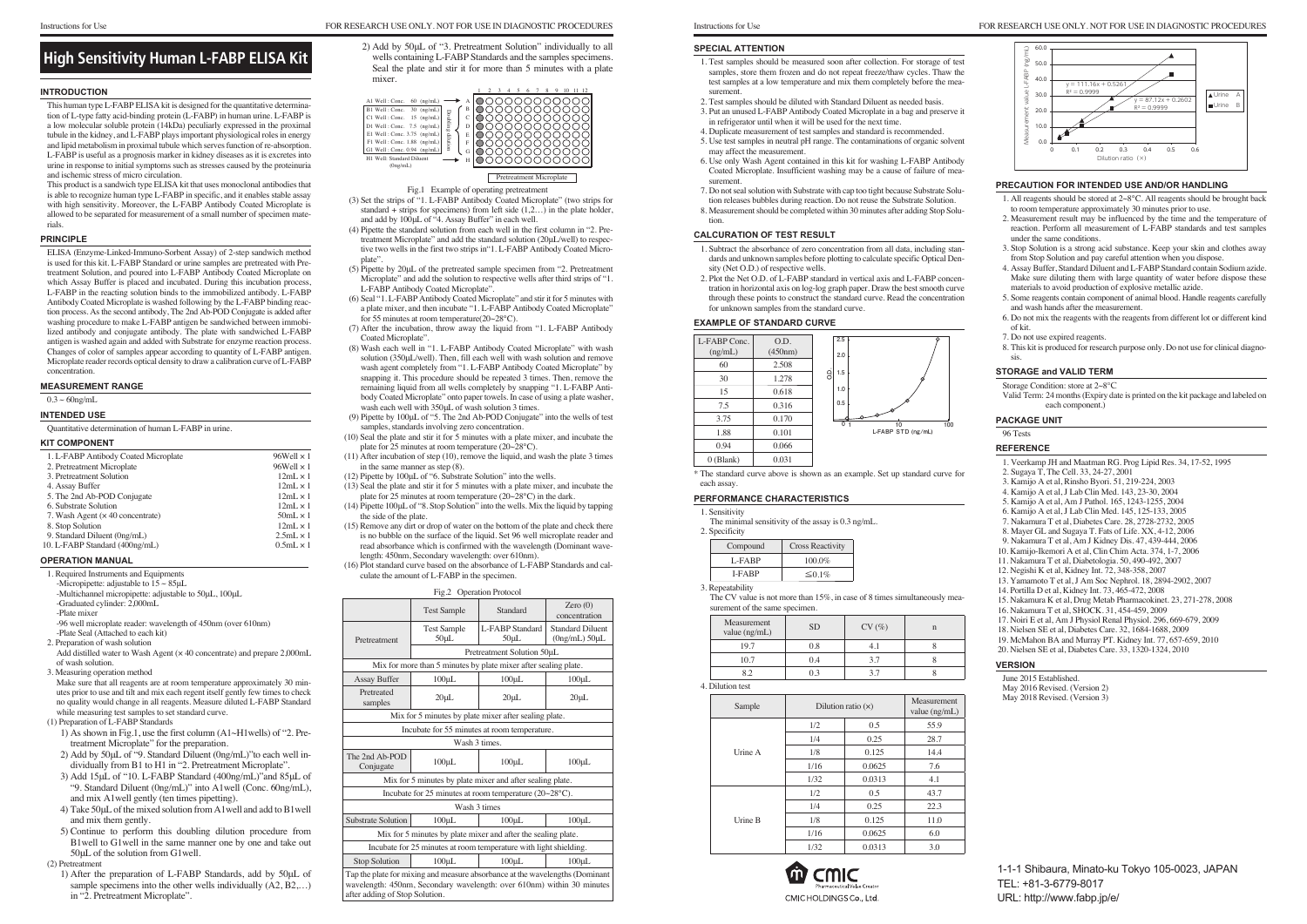#### **INTRODUCTION**

This human type L-FABP ELISA kit is designed for the quantitative determination of L-type fatty acid-binding protein (L-FABP) in human urine. L-FABP is a low molecular soluble protein (14kDa) peculiarly expressed in the proximal tubule in the kidney, and L-FABP plays important physiological roles in energy and lipid metabolism in proximal tubule which serves function of re-absorption. L-FABP is useful as a prognosis marker in kidney diseases as it is excretes into urine in response to initial symptoms such as stresses caused by the proteinuria and ischemic stress of micro circulation.

This product is a sandwich type ELISA kit that uses monoclonal antibodies that is able to recognize human type L-FABP in specific, and it enables stable assay with high sensitivity. Moreover, the L-FABP Antibody Coated Microplate is allowed to be separated for measurement of a small number of specimen materials.

#### **PRINCIPLE**

ELISA (Enzyme-Linked-Immuno-Sorbent Assay) of 2-step sandwich method is used for this kit. L-FABP Standard or urine samples are pretreated with Pretreatment Solution, and poured into L-FABP Antibody Coated Microplate on which Assay Buffer is placed and incubated. During this incubation process, L-FABP in the reacting solution binds to the immobilized antibody. L-FABP Antibody Coated Microplate is washed following by the L-FABP binding reaction process. As the second antibody, The 2nd Ab-POD Conjugate is added after washing procedure to make L-FABP antigen be sandwiched between immobilized antibody and conjugate antibody. The plate with sandwiched L-FABP antigen is washed again and added with Substrate for enzyme reaction process. Changes of color of samples appear according to quantity of L-FABP antigen. Microplate reader records optical density to draw a calibration curve of L-FABP concentration.

## **MEASUREMENT RANGE**

# $0.3 \sim 60$ ng/mL

#### **INTENDED USE**

Quantitative determination of human L-FABP in urine.

2) Add by 50μL of "3. Pretreatment Solution" individually to all wells containing L-FABP Standards and the samples specimens. Seal the plate and stir it for more than 5 minutes with a plate mixer. 2) Add by 50µL of "3. Pretreatment Solution" individually to all<br> **High Sensitivity Human L-FABP ELISA Kit** Wells containing L-FABP Standards and the samples specimens.

#### **KIT COMPONENT**

| 1. L-FABP Antibody Coated Microplate     | $96$ Well $\times$ 1 |
|------------------------------------------|----------------------|
| 2. Pretreatment Microplate               | 96Well $\times$ 1    |
| 3. Pretreatment Solution                 | $12mL \times 1$      |
| 4. Assay Buffer                          | $12mL \times 1$      |
| 5. The 2nd Ab-POD Conjugate              | $12mL \times 1$      |
| 6. Substrate Solution                    | $12mL \times 1$      |
| 7. Wash Agent ( $\times$ 40 concentrate) | $50mL \times 1$      |
| 8. Stop Solution                         | $12mL \times 1$      |
| 9. Standard Diluent (0ng/mL)             | $2.5mL \times 1$     |
| 10. L-FABP Standard (400ng/mL)           | $0.5mL \times 1$     |
|                                          |                      |

#### **OPERATION MANUAL**

1. Required Instruments and Equipments -Micropipette: adjustable to  $15 \sim 85$ uL -Multichannel micropipette: adjustable to 50μL, 100μL -Graduated cylinder: 2,000mL -Plate mixer

-96 well microplate reader: wavelength of 450nm (over 610nm) -Plate Seal (Attached to each kit)

2. Preparation of wash solution

Add distilled water to Wash Agent (× 40 concentrate) and prepare 2,000mL of wash solution.

3. Measuring operation method

Make sure that all reagents are at room temperature approximately 30 minutes prior to use and tilt and mix each regent itself gently few times to check no quality would change in all reagents. Measure diluted L-FABP Standard while measuring test samples to set standard curve.

(1) Preparation of L-FABP Standards

- 1) As shown in Fig.1, use the first column (A1~H1wells) of "2. Pretreatment Microplate" for the preparation.
- 2) Add by 50μL of "9. Standard Diluent (0ng/mL)"to each well individually from B1 to H1 in "2. Pretreatment Microplate".
- 3) Add 15μL of "10. L-FABP Standard (400ng/mL)"and 85μL of "9. Standard Diluent (0ng/mL)" into A1well (Conc. 60ng/mL), and mix A1well gently (ten times pipetting).
- 4) Take 50μL of the mixed solution from A1well and add to B1well and mix them gently.
- 5) Continue to perform this doubling dilution procedure from B1well to G1well in the same manner one by one and take out 50μL of the solution from G1well.

(2) Pretreatment

1) After the preparation of L-FABP Standards, add by 50μL of sample specimens into the other wells individually  $(A2, B2,...)$ in "2. Pretreatment Microplate".

Pretreatment Microplate

| A1 Well: Conc.<br>(ng/mL)<br>60<br>B1 Well: Conc.<br>30<br>(ng/mL)<br>Doubling dilution<br>C1 Well : Conc.<br>15<br>(ng/mL)<br>$D1$ Well: Conc. 7.5 (ng/mL)<br>E1 Well: Conc. $3.75$ (ng/mL)<br>$F1$ Well: Conc. 1.88 (ng/mL)<br>G1 Well: Conc. 0.94<br>(ng/mL)<br>H1 Well: Standard Diluent<br>(0ng/mL) | В<br>D<br>E<br>F<br>G<br>Н |  |  |  |
|----------------------------------------------------------------------------------------------------------------------------------------------------------------------------------------------------------------------------------------------------------------------------------------------------------|----------------------------|--|--|--|

#### Fig.1 Example of operating pretreatment

The CV value is not more than 15%, in case of 8 times simultaneously measurement of the same specimen.

- (3) Set the strips of "1. L-FABP Antibody Coated Microplate" (two strips for standard + strips for specimens) from left side  $(1,2...)$  in the plate holder, and add by 100μL of "4. Assay Buffer" in each well.
- (4) Pipette the standard solution from each well in the first column in "2. Pretreatment Microplate" and add the standard solution (20μL/well) to respective two wells in the first two strips in"1. L-FABP Antibody Coated Microplate".
- (5) Pipette by 20μL of the pretreated sample specimen from "2. Pretreatment Microplate" and add the solution to respective wells after third strips of "1. L-FABP Antibody Coated Microplate".
- (6) Seal "1. L-FABP Antibody Coated Microplate" and stir it for 5 minutes with a plate mixer, and then incubate "1. L-FABP Antibody Coated Microplate" for 55 minutes at room temperature(20~28℃).
- (7) After the incubation, throw away the liquid from "1. L-FABP Antibody Coated Microplate".
- (8) Wash each well in "1. L-FABP Antibody Coated Microplate" with wash solution (350μL/well). Then, fill each well with wash solution and remove wash agent completely from "1. L-FABP Antibody Coated Microplate" by snapping it. This procedure should be repeated 3 times. Then, remove the remaining liquid from all wells completely by snapping "1. L-FABP Antibody Coated Microplate" onto paper towels. In case of using a plate washer, wash each well with 350uL of wash solution 3 times.
- (9) Pipette by 100μL of "5. The 2nd Ab-POD Conjugate" into the wells of test samples, standards involving zero concentration.
- (10) Seal the plate and stir it for 5 minutes with a plate mixer, and incubate the plate for 25 minutes at room temperature (20~28℃).
- (11) After incubation of step (10), remove the liquid, and wash the plate 3 times in the same manner as step (8).
- (12) Pipette by 100μL of "6. Substrate Solution" into the wells.
- (13) Seal the plate and stir it for 5 minutes with a plate mixer, and incubate the plate for 25 minutes at room temperature (20~28℃) in the dark.
- (14) Pipette 100μL of "8. Stop Solution" into the wells. Mix the liquid by tapping the side of the plate.
- (15) Remove any dirt or drop of water on the bottom of the plate and check there is no bubble on the surface of the liquid. Set 96 well microplate reader and read absorbance which is confirmed with the wavelength (Dominant wavelength: 450nm, Secondary wavelength: over 610nm).
- (16) Plot standard curve based on the absorbance of L-FABP Standards and calculate the amount of L-FABP in the specimen.

| Fig.2 Operation Protocol                                                                                                                                                                 |                                  |                                                                 |                                                  |
|------------------------------------------------------------------------------------------------------------------------------------------------------------------------------------------|----------------------------------|-----------------------------------------------------------------|--------------------------------------------------|
|                                                                                                                                                                                          | <b>Test Sample</b>               | Standard                                                        | Zero $(0)$<br>concentration                      |
| Pretreatment                                                                                                                                                                             | <b>Test Sample</b><br>$50 \mu L$ | L-FABP Standard<br>$50 \mu L$                                   | <b>Standard Diluent</b><br>$(0ng/mL)$ 50 $\mu L$ |
|                                                                                                                                                                                          |                                  | Pretreatment Solution 50µL                                      |                                                  |
|                                                                                                                                                                                          |                                  | Mix for more than 5 minutes by plate mixer after sealing plate. |                                                  |
| <b>Assay Buffer</b>                                                                                                                                                                      | $100 \mu L$                      | $100 \mu L$                                                     | $100 \mu L$                                      |
| Pretreated<br>samples                                                                                                                                                                    | $20 \mu L$                       | $20 \mu L$                                                      | $20 \mu L$                                       |
|                                                                                                                                                                                          |                                  | Mix for 5 minutes by plate mixer after sealing plate.           |                                                  |
|                                                                                                                                                                                          |                                  | Incubate for 55 minutes at room temperature.                    |                                                  |
|                                                                                                                                                                                          |                                  | Wash 3 times.                                                   |                                                  |
| The 2nd Ab-POD<br>Conjugate                                                                                                                                                              | $100 \mu L$                      | $100 \mu L$                                                     | $100 \mu L$                                      |
|                                                                                                                                                                                          |                                  | Mix for 5 minutes by plate mixer and after sealing plate.       |                                                  |
|                                                                                                                                                                                          |                                  | Incubate for 25 minutes at room temperature $(20~28°C)$ .       |                                                  |
|                                                                                                                                                                                          | Wash 3 times                     |                                                                 |                                                  |
| <b>Substrate Solution</b>                                                                                                                                                                | $100 \mu L$                      | $100 \mu L$                                                     | $100 \mu L$                                      |
|                                                                                                                                                                                          |                                  | Mix for 5 minutes by plate mixer and after the sealing plate.   |                                                  |
| Incubate for 25 minutes at room temperature with light shielding.                                                                                                                        |                                  |                                                                 |                                                  |
| <b>Stop Solution</b>                                                                                                                                                                     | $100 \mu L$                      | $100 \mu L$                                                     | $100 \mu L$                                      |
| Tap the plate for mixing and measure absorbance at the wavelengths (Dominant<br>wavelength: 450nm, Secondary wavelength: over 610nm) within 30 minutes<br>after adding of Stop Solution. |                                  |                                                                 |                                                  |

### Instructions for Use FOR RESEARCH USE ONLY. NOT FOR USE IN DIAGNOSTIC PROCEDURES

- 1. Test samples should be measured soon after collection. For storage of test samples, store them frozen and do not repeat freeze/thaw cycles. Thaw the test samples at a low temperature and mix them completely before the measurement.
- 2. Test samples should be diluted with Standard Diluent as needed basis.
- 3. Put an unused L-FABP Antibody Coated Microplate in a bag and preserve it in refrigerator until when it will be used for the next time.
- 4. Duplicate measurement of test samples and standard is recommended. 5. Use test samples in neutral pH range. The contaminations of organic solvent
- may affect the measurement. 6. Use only Wash Agent contained in this kit for washing L-FABP Antibody
- Coated Microplate. Insufficient washing may be a cause of failure of measurement.
- 7. Do not seal solution with Substrate with cap too tight because Substrate Solution releases bubbles during reaction. Do not reuse the Substrate Solution.
- 8. Measurement should be completed within 30 minutes after adding Stop Solution.

# **CALCURATION OF TEST RESULT**

- 1. Subtract the absorbance of zero concentration from all data, including standards and unknown samples before plotting to calculate specific Optical Density (Net O.D.) of respective wells.
- 2. Plot the Net O.D. of L-FABP standard in vertical axis and L-FABP concentration in horizontal axis on log-log graph paper. Draw the best smooth curve through these points to construct the standard curve. Read the concentration for unknown samples from the standard curve.

# **EXAMPLE OF STANDARD CURVE**



\* The standard curve above is shown as an example. Set up standard curve for each assay.

#### **PERFORMANCE CHARACTERISTICS**

1. Sensitivity

The minimal sensitivity of the assay is 0.3 ng/mL.

2. Specificity

| Compound     | <b>Cross Reactivity</b> |
|--------------|-------------------------|
| L-FARP       | $100.0\%$               |
| <b>LFARP</b> | ≤ 0.1%                  |

3. Repeatability

| Measurement<br>value (ng/mL) | <b>SD</b> | CV(%) |  |
|------------------------------|-----------|-------|--|
| 19.7                         | 0.8       |       |  |
| 10.7                         | 0.4       | 37    |  |
| $\Omega$ $\sim$              | 0.3       |       |  |

4. Dilution test

| Sample  | Dilution ratio $(x)$ | Measurement<br>value $(ng/mL)$ |      |
|---------|----------------------|--------------------------------|------|
|         | 1/2                  | 0.5                            | 55.9 |
|         | 1/4                  | 0.25                           | 28.7 |
| Urine A | 1/8                  | 0.125                          | 14.4 |
|         | 1/16                 | 0.0625                         | 7.6  |
|         | 1/32                 | 0.0313                         | 4.1  |
|         | 1/2                  | 0.5                            | 43.7 |
| Urine B | 1/4                  | 0.25                           | 22.3 |
|         | 1/8                  | 0.125                          | 11.0 |
|         | 1/16                 | 0.0625                         | 6.0  |
|         | 1/32                 | 0.0313                         | 3.0  |





# **PRECAUTION FOR INTENDED USE AND/OR HANDLING**

- 1. All reagents should be stored at 2~8℃. All reagents should be brought back to room temperature approximately 30 minutes prior to use.
- 2. Measurement result may be influenced by the time and the temperature of reaction. Perform all measurement of L-FABP standards and test samples under the same conditions.
- 3. Stop Solution is a strong acid substance. Keep your skin and clothes away from Stop Solution and pay careful attention when you dispose.
- 4. Assay Buffer, Standard Diluent and L-FABP Standard contain Sodium azide. Make sure diluting them with large quantity of water before dispose these materials to avoid production of explosive metallic azide.
- 5. Some reagents contain component of animal blood. Handle reagents carefully and wash hands after the measurement.
- 6. Do not mix the reagents with the reagents from different lot or different kind of kit.
- 7. Do not use expired reagents.
- 8. This kit is produced for research purpose only. Do not use for clinical diagnosis.

#### **STORAGE and VALID TERM**

Storage Condition: store at 2~8℃

Valid Term: 24 months (Expiry date is printed on the kit package and labeled on each component.)

#### **PACKAGE UNIT**

96 Tests

### **REFERENCE**

- 1. Veerkamp JH and Maatman RG. Prog Lipid Res. 34, 17-52, 1995
- 2. Sugaya T, The Cell. 33, 24-27, 2001
- 3. Kamijo A et al, Rinsho Byori. 51, 219-224, 2003
- 4. Kamijo A et al, J Lab Clin Med. 143, 23-30, 2004
- 5. Kamijo A et al, Am J Pathol. 165, 1243-1255, 2004
- 6. Kamijo A et al, J Lab Clin Med. 145, 125-133, 2005
- 7. Nakamura T et al, Diabetes Care. 28, 2728-2732, 2005
- 8. Mayer GL and Sugaya T. Fats of Life. XX, 4-12, 2006
- 9. Nakamura T et al, Am J Kidney Dis. 47, 439-444, 2006
- 10. Kamijo-Ikemori A et al, Clin Chim Acta. 374, 1-7, 2006
- 11. Nakamura T et al, Diabetologia. 50, 490-492, 2007
- 12. Negishi K et al, Kidney Int. 72, 348-358, 2007
- 13. Yamamoto T et al, J Am Soc Nephrol. 18, 2894-2902, 2007
- 14. Portilla D et al, Kidney Int. 73, 465-472, 2008
- 15. Nakamura K et al, Drug Metab Pharmacokinet. 23, 271-278, 2008
- 16. Nakamura T et al, SHOCK. 31, 454-459, 2009
- 17. Noiri E et al, Am J Physiol Renal Physiol. 296, 669-679, 2009
- 18. Nielsen SE et al, Diabetes Care. 32, 1684-1688, 2009
- 19. McMahon BA and Murray PT. Kidney Int. 77, 657-659, 2010
- 20. Nielsen SE et al, Diabetes Care. 33, 1320-1324, 2010

### **VERSION**

June 2015 Established. May 2016 Revised. (Version 2) May 2018 Revised. (Version 3)